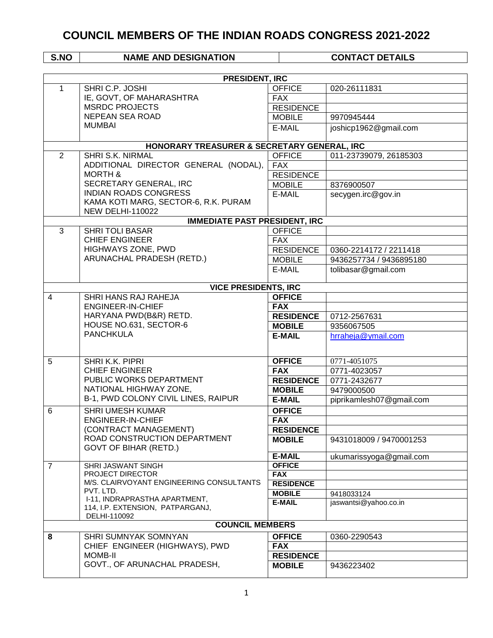| <b>PRESIDENT, IRC</b> |                                                       |                  |                          |  |
|-----------------------|-------------------------------------------------------|------------------|--------------------------|--|
| $\mathbf{1}$          | SHRI C.P. JOSHI                                       | <b>OFFICE</b>    | 020-26111831             |  |
|                       | IE, GOVT, OF MAHARASHTRA                              | <b>FAX</b>       |                          |  |
|                       | <b>MSRDC PROJECTS</b>                                 | <b>RESIDENCE</b> |                          |  |
|                       | <b>NEPEAN SEA ROAD</b>                                | <b>MOBILE</b>    | 9970945444               |  |
|                       | <b>MUMBAI</b>                                         | E-MAIL           | joshicp1962@gmail.com    |  |
|                       |                                                       |                  |                          |  |
|                       | HONORARY TREASURER & SECRETARY GENERAL, IRC           |                  |                          |  |
| $\overline{2}$        | <b>SHRI S.K. NIRMAL</b>                               | <b>OFFICE</b>    | 011-23739079, 26185303   |  |
|                       | ADDITIONAL DIRECTOR GENERAL (NODAL),                  | FAX              |                          |  |
|                       | <b>MORTH &amp;</b>                                    | <b>RESIDENCE</b> |                          |  |
|                       | SECRETARY GENERAL, IRC                                | <b>MOBILE</b>    | 8376900507               |  |
|                       | <b>INDIAN ROADS CONGRESS</b>                          | E-MAIL           | secygen.irc@gov.in       |  |
|                       | KAMA KOTI MARG, SECTOR-6, R.K. PURAM                  |                  |                          |  |
|                       | <b>NEW DELHI-110022</b>                               |                  |                          |  |
|                       | <b>IMMEDIATE PAST PRESIDENT, IRC</b>                  |                  |                          |  |
| 3                     | <b>SHRITOLI BASAR</b>                                 | <b>OFFICE</b>    |                          |  |
|                       | <b>CHIEF ENGINEER</b>                                 | <b>FAX</b>       |                          |  |
|                       | HIGHWAYS ZONE, PWD                                    | <b>RESIDENCE</b> | 0360-2214172 / 2211418   |  |
|                       | ARUNACHAL PRADESH (RETD.)                             | <b>MOBILE</b>    | 9436257734 / 9436895180  |  |
|                       |                                                       | E-MAIL           | tolibasar@gmail.com      |  |
|                       |                                                       |                  |                          |  |
|                       | <b>VICE PRESIDENTS, IRC</b>                           |                  |                          |  |
| $\overline{4}$        | SHRI HANS RAJ RAHEJA                                  | <b>OFFICE</b>    |                          |  |
|                       | <b>ENGINEER-IN-CHIEF</b>                              | <b>FAX</b>       |                          |  |
|                       | HARYANA PWD(B&R) RETD.                                | <b>RESIDENCE</b> | 0712-2567631             |  |
|                       | HOUSE NO.631, SECTOR-6                                | <b>MOBILE</b>    | 9356067505               |  |
|                       | <b>PANCHKULA</b>                                      | <b>E-MAIL</b>    | hrraheja@ymail.com       |  |
|                       |                                                       |                  |                          |  |
| 5                     | SHRI K.K. PIPRI                                       | <b>OFFICE</b>    | 0771-4051075             |  |
|                       | <b>CHIEF ENGINEER</b>                                 | <b>FAX</b>       | 0771-4023057             |  |
|                       | PUBLIC WORKS DEPARTMENT                               | <b>RESIDENCE</b> | 0771-2432677             |  |
|                       | NATIONAL HIGHWAY ZONE,                                | <b>MOBILE</b>    | 9479000500               |  |
|                       | B-1, PWD COLONY CIVIL LINES, RAIPUR                   | <b>E-MAIL</b>    | piprikamlesh07@gmail.com |  |
|                       | <b>SHRI UMESH KUMAR</b>                               |                  |                          |  |
| 6                     | <b>ENGINEER-IN-CHIEF</b>                              | <b>OFFICE</b>    |                          |  |
|                       |                                                       | <b>FAX</b>       |                          |  |
|                       | (CONTRACT MANAGEMENT)<br>ROAD CONSTRUCTION DEPARTMENT | <b>RESIDENCE</b> |                          |  |
|                       | <b>GOVT OF BIHAR (RETD.)</b>                          | <b>MOBILE</b>    | 9431018009 / 9470001253  |  |
|                       |                                                       | <b>E-MAIL</b>    | ukumarissyoga@gmail.com  |  |
| $\overline{7}$        | <b>SHRI JASWANT SINGH</b>                             | <b>OFFICE</b>    |                          |  |
|                       | PROJECT DIRECTOR                                      | <b>FAX</b>       |                          |  |
|                       | M/S. CLAIRVOYANT ENGINEERING CONSULTANTS              | <b>RESIDENCE</b> |                          |  |
|                       | PVT. LTD.                                             | <b>MOBILE</b>    | 9418033124               |  |
|                       | I-11, INDRAPRASTHA APARTMENT,                         | <b>E-MAIL</b>    | jaswantsi@yahoo.co.in    |  |
|                       | 114, I.P. EXTENSION, PATPARGANJ,<br>DELHI-110092      |                  |                          |  |
|                       | <b>COUNCIL MEMBERS</b>                                |                  |                          |  |
| 8                     | SHRI SUMNYAK SOMNYAN                                  | <b>OFFICE</b>    | 0360-2290543             |  |
|                       | CHIEF ENGINEER (HIGHWAYS), PWD                        | <b>FAX</b>       |                          |  |
|                       | <b>MOMB-II</b>                                        | <b>RESIDENCE</b> |                          |  |
|                       | GOVT., OF ARUNACHAL PRADESH,                          | <b>MOBILE</b>    | 9436223402               |  |
|                       |                                                       |                  |                          |  |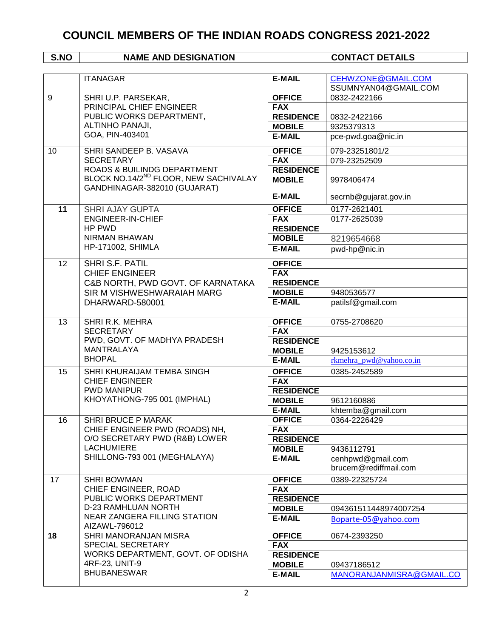|    | <b>ITANAGAR</b>                                                                   | <b>E-MAIL</b>    | <b>CEHWZONE@GMAIL.COM</b> |
|----|-----------------------------------------------------------------------------------|------------------|---------------------------|
|    |                                                                                   |                  | SSUMNYAN04@GMAIL.COM      |
| 9  | SHRI U.P. PARSEKAR,                                                               | <b>OFFICE</b>    | 0832-2422166              |
|    | PRINCIPAL CHIEF ENGINEER                                                          | FAX              |                           |
|    | PUBLIC WORKS DEPARTMENT,                                                          | <b>RESIDENCE</b> | 0832-2422166              |
|    | ALTINHO PANAJI,                                                                   | <b>MOBILE</b>    | 9325379313                |
|    | GOA, PIN-403401                                                                   | <b>E-MAIL</b>    | pce-pwd.goa@nic.in        |
| 10 | SHRI SANDEEP B. VASAVA                                                            | <b>OFFICE</b>    | 079-23251801/2            |
|    | <b>SECRETARY</b>                                                                  | <b>FAX</b>       | 079-23252509              |
|    | ROADS & BUILINDG DEPARTMENT                                                       | <b>RESIDENCE</b> |                           |
|    | BLOCK NO.14/2 <sup>ND</sup> FLOOR, NEW SACHIVALAY<br>GANDHINAGAR-382010 (GUJARAT) | <b>MOBILE</b>    | 9978406474                |
|    |                                                                                   | <b>E-MAIL</b>    | secrnb@gujarat.gov.in     |
| 11 | <b>SHRI AJAY GUPTA</b>                                                            | <b>OFFICE</b>    | 0177-2621401              |
|    | <b>ENGINEER-IN-CHIEF</b>                                                          | <b>FAX</b>       | 0177-2625039              |
|    | HP PWD                                                                            | <b>RESIDENCE</b> |                           |
|    | <b>NIRMAN BHAWAN</b>                                                              | <b>MOBILE</b>    | 8219654668                |
|    | <b>HP-171002, SHIMLA</b>                                                          | <b>E-MAIL</b>    | pwd-hp@nic.in             |
| 12 | SHRI S.F. PATIL                                                                   | <b>OFFICE</b>    |                           |
|    | <b>CHIEF ENGINEER</b>                                                             | <b>FAX</b>       |                           |
|    | C&B NORTH, PWD GOVT. OF KARNATAKA                                                 | <b>RESIDENCE</b> |                           |
|    | SIR M VISHWESHWARAIAH MARG                                                        | <b>MOBILE</b>    | 9480536577                |
|    | DHARWARD-580001                                                                   | <b>E-MAIL</b>    | patilsf@gmail.com         |
| 13 | SHRI R.K. MEHRA                                                                   | <b>OFFICE</b>    | 0755-2708620              |
|    | <b>SECRETARY</b>                                                                  | <b>FAX</b>       |                           |
|    | PWD, GOVT. OF MADHYA PRADESH                                                      | <b>RESIDENCE</b> |                           |
|    | <b>MANTRALAYA</b>                                                                 | <b>MOBILE</b>    | 9425153612                |
|    | <b>BHOPAL</b>                                                                     | <b>E-MAIL</b>    | rkmehra_pwd@yahoo.co.in   |
| 15 | SHRI KHURAIJAM TEMBA SINGH                                                        | <b>OFFICE</b>    | 0385-2452589              |
|    | <b>CHIEF ENGINEER</b>                                                             | <b>FAX</b>       |                           |
|    | <b>PWD MANIPUR</b>                                                                | <b>RESIDENCE</b> |                           |
|    | KHOYATHONG-795 001 (IMPHAL)                                                       | <b>MOBILE</b>    | 9612160886                |
|    |                                                                                   | <b>E-MAIL</b>    | khtemba@gmail.com         |
| 16 | <b>SHRI BRUCE P MARAK</b>                                                         | <b>OFFICE</b>    | 0364-2226429              |
|    | CHIEF ENGINEER PWD (ROADS) NH,                                                    | <b>FAX</b>       |                           |
|    | O/O SECRETARY PWD (R&B) LOWER                                                     | <b>RESIDENCE</b> |                           |
|    | <b>LACHUMIERE</b>                                                                 | <b>MOBILE</b>    | 9436112791                |
|    | SHILLONG-793 001 (MEGHALAYA)                                                      | <b>E-MAIL</b>    | cenhpwd@gmail.com         |
|    |                                                                                   |                  | brucem@rediffmail.com     |
| 17 | <b>SHRI BOWMAN</b>                                                                | <b>OFFICE</b>    | 0389-22325724             |
|    | CHIEF ENGINEER, ROAD                                                              | <b>FAX</b>       |                           |
|    | PUBLIC WORKS DEPARTMENT                                                           | <b>RESIDENCE</b> |                           |
|    | <b>D-23 RAMHLUAN NORTH</b>                                                        | <b>MOBILE</b>    | 094361511448974007254     |
|    | <b>NEAR ZANGERA FILLING STATION</b><br>AIZAWL-796012                              | <b>E-MAIL</b>    | Boparte-05@yahoo.com      |
| 18 | SHRI MANORANJAN MISRA                                                             | <b>OFFICE</b>    | 0674-2393250              |
|    | SPECIAL SECRETARY                                                                 | <b>FAX</b>       |                           |
|    | WORKS DEPARTMENT, GOVT. OF ODISHA                                                 | <b>RESIDENCE</b> |                           |
|    | 4RF-23, UNIT-9                                                                    | <b>MOBILE</b>    | 09437186512               |
|    | <b>BHUBANESWAR</b>                                                                | <b>E-MAIL</b>    | MANORANJANMISRA@GMAIL.CO  |
|    |                                                                                   |                  |                           |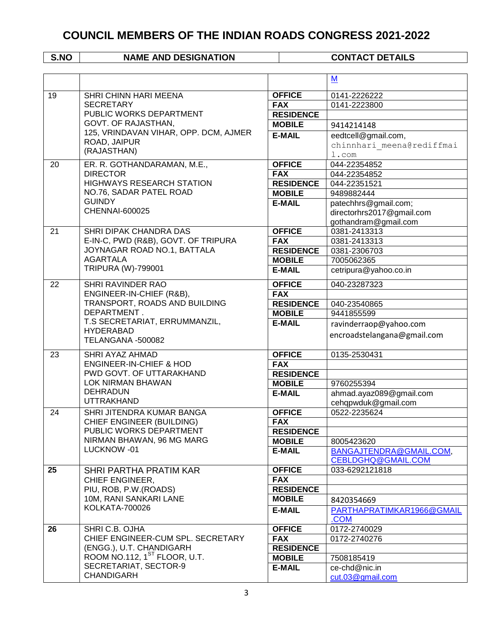|    |                                                                    |                                | M                                             |
|----|--------------------------------------------------------------------|--------------------------------|-----------------------------------------------|
| 19 | SHRI CHINN HARI MEENA                                              | <b>OFFICE</b>                  | 0141-2226222                                  |
|    | <b>SECRETARY</b>                                                   | <b>FAX</b>                     | 0141-2223800                                  |
|    | PUBLIC WORKS DEPARTMENT                                            | <b>RESIDENCE</b>               |                                               |
|    | GOVT. OF RAJASTHAN,                                                | <b>MOBILE</b>                  | 9414214148                                    |
|    | 125, VRINDAVAN VIHAR, OPP. DCM, AJMER                              | <b>E-MAIL</b>                  | eedtcell@gmail.com,                           |
|    | ROAD, JAIPUR                                                       |                                | chinnhari meena@rediffmai                     |
|    | (RAJASTHAN)                                                        |                                | 1.com                                         |
| 20 | ER. R. GOTHANDARAMAN, M.E.,                                        | <b>OFFICE</b>                  | 044-22354852                                  |
|    | <b>DIRECTOR</b>                                                    | <b>FAX</b>                     | 044-22354852                                  |
|    | <b>HIGHWAYS RESEARCH STATION</b>                                   | <b>RESIDENCE</b>               | 044-22351521                                  |
|    | NO.76, SADAR PATEL ROAD                                            | <b>MOBILE</b>                  | 9489882444                                    |
|    | <b>GUINDY</b>                                                      | <b>E-MAIL</b>                  | patechhrs@gmail.com;                          |
|    | <b>CHENNAI-600025</b>                                              |                                | directorhrs2017@gmail.com                     |
|    |                                                                    |                                | gothandram@gmail.com                          |
| 21 | SHRI DIPAK CHANDRA DAS                                             | <b>OFFICE</b>                  | 0381-2413313                                  |
|    | E-IN-C, PWD (R&B), GOVT. OF TRIPURA<br>JOYNAGAR ROAD NO.1, BATTALA | <b>FAX</b>                     | 0381-2413313                                  |
|    | <b>AGARTALA</b>                                                    | <b>RESIDENCE</b>               | 0381-2306703                                  |
|    | TRIPURA (W)-799001                                                 | <b>MOBILE</b><br><b>E-MAIL</b> | 7005062365                                    |
|    |                                                                    |                                | cetripura@yahoo.co.in                         |
| 22 | SHRI RAVINDER RAO                                                  | <b>OFFICE</b>                  | 040-23287323                                  |
|    | ENGINEER-IN-CHIEF (R&B),                                           | <b>FAX</b>                     |                                               |
|    | TRANSPORT, ROADS AND BUILDING<br>DEPARTMENT.                       | <b>RESIDENCE</b>               | 040-23540865                                  |
|    | T.S SECRETARIAT, ERRUMMANZIL,                                      | <b>MOBILE</b>                  | 9441855599                                    |
|    | <b>HYDERABAD</b>                                                   | <b>E-MAIL</b>                  | ravinderraop@yahoo.com                        |
|    | TELANGANA -500082                                                  |                                | encroadstelangana@gmail.com                   |
| 23 | SHRI AYAZ AHMAD                                                    | <b>OFFICE</b>                  | 0135-2530431                                  |
|    | <b>ENGINEER-IN-CHIEF &amp; HOD</b>                                 | <b>FAX</b>                     |                                               |
|    | PWD GOVT. OF UTTARAKHAND                                           | <b>RESIDENCE</b>               |                                               |
|    | LOK NIRMAN BHAWAN                                                  | <b>MOBILE</b>                  | 9760255394                                    |
|    | <b>DEHRADUN</b>                                                    | <b>E-MAIL</b>                  | ahmad.ayaz089@gmail.com                       |
|    | <b>UTTRAKHAND</b>                                                  |                                | cehqpwduk@gmail.com                           |
| 24 | SHRI JITENDRA KUMAR BANGA                                          | <b>OFFICE</b>                  | 0522-2235624                                  |
|    | CHIEF ENGINEER (BUILDING)                                          | <b>FAX</b>                     |                                               |
|    | PUBLIC WORKS DEPARTMENT<br>NIRMAN BHAWAN, 96 MG MARG               | <b>RESIDENCE</b>               |                                               |
|    | LUCKNOW -01                                                        | <b>MOBILE</b><br><b>E-MAIL</b> | 8005423620                                    |
|    |                                                                    |                                | BANGAJTENDRA@GMAIL.COM,<br>CEBLDGHQ@GMAIL.COM |
| 25 | SHRI PARTHA PRATIM KAR                                             | <b>OFFICE</b>                  | 033-6292121818                                |
|    | CHIEF ENGINEER,                                                    | <b>FAX</b>                     |                                               |
|    | PIU, ROB, P.W.(ROADS)                                              | <b>RESIDENCE</b>               |                                               |
|    | 10M, RANI SANKARI LANE                                             | <b>MOBILE</b>                  | 8420354669                                    |
|    | <b>KOLKATA-700026</b>                                              | <b>E-MAIL</b>                  | PARTHAPRATIMKAR1966@GMAIL                     |
|    |                                                                    |                                | .COM                                          |
| 26 | SHRI C.B. OJHA                                                     | <b>OFFICE</b>                  | 0172-2740029                                  |
|    | CHIEF ENGINEER-CUM SPL. SECRETARY                                  | <b>FAX</b>                     | 0172-2740276                                  |
|    | (ENGG.), U.T. CHANDIGARH                                           | <b>RESIDENCE</b>               |                                               |
|    | ROOM NO.112, 1 <sup>ST</sup> FLOOR, U.T.                           | <b>MOBILE</b>                  | 7508185419                                    |
|    | SECRETARIAT, SECTOR-9<br><b>CHANDIGARH</b>                         | <b>E-MAIL</b>                  | ce-chd@nic.in                                 |
|    |                                                                    |                                | cut.03@gmail.com                              |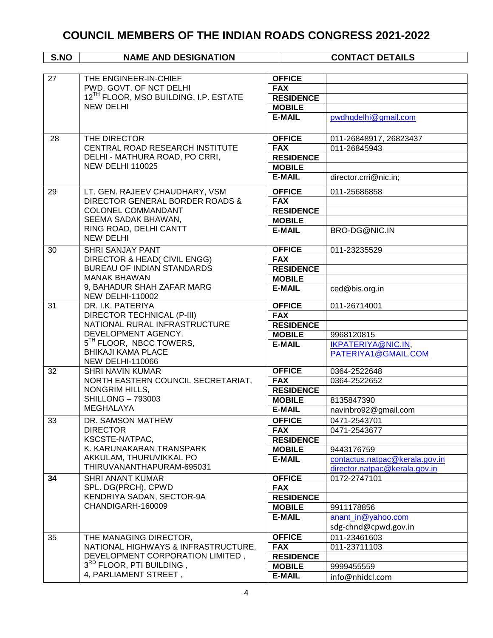| S.NO | <b>NAME AND DESIGNATION</b>                          |                  | <b>CONTACT DETAILS</b>                 |
|------|------------------------------------------------------|------------------|----------------------------------------|
|      |                                                      |                  |                                        |
| 27   | THE ENGINEER-IN-CHIEF                                | <b>OFFICE</b>    |                                        |
|      | PWD, GOVT. OF NCT DELHI                              | <b>FAX</b>       |                                        |
|      | 12 <sup>TH</sup> FLOOR, MSO BUILDING, I.P. ESTATE    | <b>RESIDENCE</b> |                                        |
|      | <b>NEW DELHI</b>                                     | <b>MOBILE</b>    |                                        |
|      |                                                      | <b>E-MAIL</b>    | pwdhqdelhi@gmail.com                   |
|      |                                                      |                  |                                        |
| 28   | THE DIRECTOR                                         | <b>OFFICE</b>    |                                        |
|      | CENTRAL ROAD RESEARCH INSTITUTE                      | <b>FAX</b>       | 011-26848917, 26823437<br>011-26845943 |
|      | DELHI - MATHURA ROAD, PO CRRI,                       | <b>RESIDENCE</b> |                                        |
|      | <b>NEW DELHI 110025</b>                              | <b>MOBILE</b>    |                                        |
|      |                                                      | <b>E-MAIL</b>    | director.crri@nic.in;                  |
|      |                                                      |                  |                                        |
| 29   | LT. GEN. RAJEEV CHAUDHARY, VSM                       | <b>OFFICE</b>    | 011-25686858                           |
|      | DIRECTOR GENERAL BORDER ROADS &                      | <b>FAX</b>       |                                        |
|      | <b>COLONEL COMMANDANT</b>                            | <b>RESIDENCE</b> |                                        |
|      | SEEMA SADAK BHAWAN,                                  | <b>MOBILE</b>    |                                        |
|      | RING ROAD, DELHI CANTT                               | <b>E-MAIL</b>    | BRO-DG@NIC.IN                          |
|      | <b>NEW DELHI</b>                                     |                  |                                        |
| 30   | <b>SHRI SANJAY PANT</b>                              | <b>OFFICE</b>    | 011-23235529                           |
|      | DIRECTOR & HEAD( CIVIL ENGG)                         | <b>FAX</b>       |                                        |
|      | <b>BUREAU OF INDIAN STANDARDS</b>                    | <b>RESIDENCE</b> |                                        |
|      | <b>MANAK BHAWAN</b>                                  | <b>MOBILE</b>    |                                        |
|      | 9, BAHADUR SHAH ZAFAR MARG                           | <b>E-MAIL</b>    | ced@bis.org.in                         |
|      | <b>NEW DELHI-110002</b>                              |                  |                                        |
| 31   | DR. I.K. PATERIYA                                    | <b>OFFICE</b>    | 011-26714001                           |
|      | DIRECTOR TECHNICAL (P-III)                           | <b>FAX</b>       |                                        |
|      | NATIONAL RURAL INFRASTRUCTURE<br>DEVELOPMENT AGENCY. | <b>RESIDENCE</b> |                                        |
|      | 5 <sup>TH</sup> FLOOR, NBCC TOWERS,                  | <b>MOBILE</b>    | 9968120815                             |
|      | <b>BHIKAJI KAMA PLACE</b>                            | <b>E-MAIL</b>    | IKPATERIYA@NIC.IN,                     |
|      | <b>NEW DELHI-110066</b>                              |                  | PATERIYA1@GMAIL.COM                    |
| 32   | <b>SHRI NAVIN KUMAR</b>                              | <b>OFFICE</b>    | 0364-2522648                           |
|      | NORTH EASTERN COUNCIL SECRETARIAT,                   | <b>FAX</b>       | 0364-2522652                           |
|      | NONGRIM HILLS,                                       | <b>RESIDENCE</b> |                                        |
|      | <b>SHILLONG - 793003</b>                             | <b>MOBILE</b>    | 8135847390                             |
|      | MEGHALAYA                                            | <b>E-MAIL</b>    | navinbro92@gmail.com                   |
| 33   | DR. SAMSON MATHEW                                    | <b>OFFICE</b>    | 0471-2543701                           |
|      | <b>DIRECTOR</b>                                      | <b>FAX</b>       | 0471-2543677                           |
|      | KSCSTE-NATPAC,                                       | <b>RESIDENCE</b> |                                        |
|      | K. KARUNAKARAN TRANSPARK                             | <b>MOBILE</b>    | 9443176759                             |
|      | AKKULAM, THURUVIKKAL PO                              | <b>E-MAIL</b>    | contactus.natpac@kerala.gov.in         |
|      | THIRUVANANTHAPURAM-695031                            |                  | director.natpac@kerala.gov.in          |
| 34   | <b>SHRI ANANT KUMAR</b>                              | <b>OFFICE</b>    | 0172-2747101                           |
|      | SPL. DG(PRCH), CPWD                                  | <b>FAX</b>       |                                        |
|      | KENDRIYA SADAN, SECTOR-9A                            | <b>RESIDENCE</b> |                                        |
|      | CHANDIGARH-160009                                    | <b>MOBILE</b>    | 9911178856                             |
|      |                                                      | <b>E-MAIL</b>    | anant_in@yahoo.com                     |
|      |                                                      |                  | sdg-chnd@cpwd.gov.in                   |
| 35   | THE MANAGING DIRECTOR,                               | <b>OFFICE</b>    | 011-23461603                           |
|      | NATIONAL HIGHWAYS & INFRASTRUCTURE,                  | <b>FAX</b>       | 011-23711103                           |
|      | DEVELOPMENT CORPORATION LIMITED,                     | <b>RESIDENCE</b> |                                        |
|      | 3RD FLOOR, PTI BUILDING,                             | <b>MOBILE</b>    | 9999455559                             |
|      | 4, PARLIAMENT STREET,                                | <b>E-MAIL</b>    | info@nhidcl.com                        |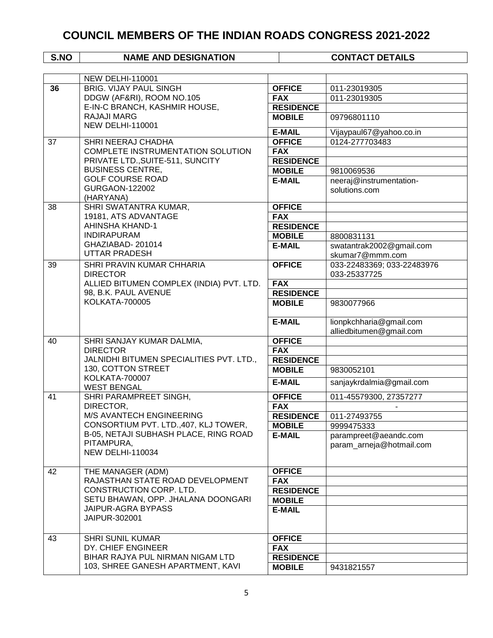|    | <b>NEW DELHI-110001</b>                       |                  |                            |
|----|-----------------------------------------------|------------------|----------------------------|
| 36 | <b>BRIG. VIJAY PAUL SINGH</b>                 | <b>OFFICE</b>    | 011-23019305               |
|    | DDGW (AF&RI), ROOM NO.105                     | <b>FAX</b>       | 011-23019305               |
|    | E-IN-C BRANCH, KASHMIR HOUSE,                 | <b>RESIDENCE</b> |                            |
|    | <b>RAJAJI MARG</b><br><b>NEW DELHI-110001</b> | <b>MOBILE</b>    | 09796801110                |
|    |                                               | <b>E-MAIL</b>    | Vijaypaul67@yahoo.co.in    |
| 37 | SHRI NEERAJ CHADHA                            | <b>OFFICE</b>    | 0124-277703483             |
|    | COMPLETE INSTRUMENTATION SOLUTION             | <b>FAX</b>       |                            |
|    | PRIVATE LTD., SUITE-511, SUNCITY              | <b>RESIDENCE</b> |                            |
|    | <b>BUSINESS CENTRE,</b>                       | <b>MOBILE</b>    | 9810069536                 |
|    | <b>GOLF COURSE ROAD</b>                       | <b>E-MAIL</b>    | neeraj@instrumentation-    |
|    | GURGAON-122002                                |                  | solutions.com              |
|    | (HARYANA)                                     |                  |                            |
| 38 | SHRI SWATANTRA KUMAR,                         | <b>OFFICE</b>    |                            |
|    | 19181, ATS ADVANTAGE                          | <b>FAX</b>       |                            |
|    | AHINSHA KHAND-1                               | <b>RESIDENCE</b> |                            |
|    | <b>INDIRAPURAM</b>                            | <b>MOBILE</b>    | 8800831131                 |
|    | GHAZIABAD-201014                              | <b>E-MAIL</b>    | swatantrak2002@gmail.com   |
|    | <b>UTTAR PRADESH</b>                          |                  | skumar7@mmm.com            |
| 39 | SHRI PRAVIN KUMAR CHHARIA                     | <b>OFFICE</b>    | 033-22483369; 033-22483976 |
|    | <b>DIRECTOR</b>                               |                  | 033-25337725               |
|    | ALLIED BITUMEN COMPLEX (INDIA) PVT. LTD.      | <b>FAX</b>       |                            |
|    | 98, B.K. PAUL AVENUE                          | <b>RESIDENCE</b> |                            |
|    | <b>KOLKATA-700005</b>                         | <b>MOBILE</b>    | 9830077966                 |
|    |                                               |                  |                            |
|    |                                               | <b>E-MAIL</b>    | lionpkchharia@gmail.com    |
|    |                                               |                  | alliedbitumen@gmail.com    |
| 40 | SHRI SANJAY KUMAR DALMIA,                     | <b>OFFICE</b>    |                            |
|    | <b>DIRECTOR</b>                               | <b>FAX</b>       |                            |
|    | JALNIDHI BITUMEN SPECIALITIES PVT. LTD.,      | <b>RESIDENCE</b> |                            |
|    | 130, COTTON STREET<br><b>KOLKATA-700007</b>   | <b>MOBILE</b>    | 9830052101                 |
|    | <b>WEST BENGAL</b>                            | <b>E-MAIL</b>    | sanjaykrdalmia@gmail.com   |
| 41 | SHRI PARAMPREET SINGH,                        | <b>OFFICE</b>    | 011-45579300, 27357277     |
|    | DIRECTOR,                                     | <b>FAX</b>       |                            |
|    | M/S AVANTECH ENGINEERING                      | <b>RESIDENCE</b> | 011-27493755               |
|    | CONSORTIUM PVT. LTD., 407, KLJ TOWER,         | <b>MOBILE</b>    | 9999475333                 |
|    | B-05, NETAJI SUBHASH PLACE, RING ROAD         | <b>E-MAIL</b>    | parampreet@aeandc.com      |
|    | PITAMPURA,<br><b>NEW DELHI-110034</b>         |                  | param_arneja@hotmail.com   |
|    |                                               |                  |                            |
| 42 | THE MANAGER (ADM)                             | <b>OFFICE</b>    |                            |
|    | RAJASTHAN STATE ROAD DEVELOPMENT              | <b>FAX</b>       |                            |
|    | CONSTRUCTION CORP. LTD.                       | <b>RESIDENCE</b> |                            |
|    | SETU BHAWAN, OPP. JHALANA DOONGARI            |                  |                            |
|    | JAIPUR-AGRA BYPASS                            | <b>MOBILE</b>    |                            |
|    | JAIPUR-302001                                 | <b>E-MAIL</b>    |                            |
|    |                                               |                  |                            |
| 43 | <b>SHRI SUNIL KUMAR</b>                       | <b>OFFICE</b>    |                            |
|    | DY. CHIEF ENGINEER                            | <b>FAX</b>       |                            |
|    | BIHAR RAJYA PUL NIRMAN NIGAM LTD              | <b>RESIDENCE</b> |                            |
|    | 103, SHREE GANESH APARTMENT, KAVI             | <b>MOBILE</b>    | 9431821557                 |
|    |                                               |                  |                            |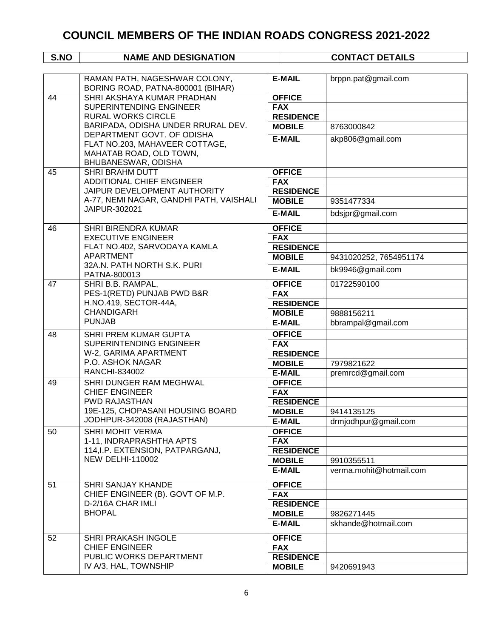| S.NO | <b>NAME AND DESIGNATION</b>                                                      |                  | <b>CONTACT DETAILS</b>  |
|------|----------------------------------------------------------------------------------|------------------|-------------------------|
|      |                                                                                  |                  |                         |
|      | RAMAN PATH, NAGESHWAR COLONY,<br>BORING ROAD, PATNA-800001 (BIHAR)               | <b>E-MAIL</b>    | brppn.pat@gmail.com     |
| 44   | SHRI AKSHAYA KUMAR PRADHAN                                                       | <b>OFFICE</b>    |                         |
|      | SUPERINTENDING ENGINEER                                                          | <b>FAX</b>       |                         |
|      | <b>RURAL WORKS CIRCLE</b>                                                        | <b>RESIDENCE</b> |                         |
|      | BARIPADA, ODISHA UNDER RRURAL DEV.                                               | <b>MOBILE</b>    | 8763000842              |
|      | DEPARTMENT GOVT. OF ODISHA                                                       | <b>E-MAIL</b>    | akp806@gmail.com        |
|      | FLAT NO.203, MAHAVEER COTTAGE,<br>MAHATAB ROAD, OLD TOWN,<br>BHUBANESWAR, ODISHA |                  |                         |
| 45   | <b>SHRI BRAHM DUTT</b>                                                           | <b>OFFICE</b>    |                         |
|      | ADDITIONAL CHIEF ENGINEER                                                        | <b>FAX</b>       |                         |
|      | JAIPUR DEVELOPMENT AUTHORITY                                                     | <b>RESIDENCE</b> |                         |
|      | A-77, NEMI NAGAR, GANDHI PATH, VAISHALI                                          | <b>MOBILE</b>    | 9351477334              |
|      | JAIPUR-302021                                                                    | <b>E-MAIL</b>    | bdsjpr@gmail.com        |
| 46   | <b>SHRI BIRENDRA KUMAR</b>                                                       | <b>OFFICE</b>    |                         |
|      | <b>EXECUTIVE ENGINEER</b>                                                        | <b>FAX</b>       |                         |
|      | FLAT NO.402, SARVODAYA KAMLA                                                     | <b>RESIDENCE</b> |                         |
|      | <b>APARTMENT</b><br>32A.N. PATH NORTH S.K. PURI                                  | <b>MOBILE</b>    | 9431020252, 7654951174  |
|      | PATNA-800013                                                                     | <b>E-MAIL</b>    | bk9946@gmail.com        |
| 47   | SHRI B.B. RAMPAL,                                                                | <b>OFFICE</b>    | 01722590100             |
|      | PES-1(RETD) PUNJAB PWD B&R                                                       | <b>FAX</b>       |                         |
|      | H.NO.419, SECTOR-44A,                                                            | <b>RESIDENCE</b> |                         |
|      | <b>CHANDIGARH</b>                                                                | <b>MOBILE</b>    | 9888156211              |
|      | <b>PUNJAB</b>                                                                    | <b>E-MAIL</b>    | bbrampal@gmail.com      |
| 48   | SHRI PREM KUMAR GUPTA                                                            | <b>OFFICE</b>    |                         |
|      | SUPERINTENDING ENGINEER                                                          | <b>FAX</b>       |                         |
|      | W-2, GARIMA APARTMENT                                                            | <b>RESIDENCE</b> |                         |
|      | P.O. ASHOK NAGAR                                                                 | <b>MOBILE</b>    | 7979821622              |
|      | RANCHI-834002                                                                    | <b>E-MAIL</b>    | premrcd@gmail.com       |
| 49   | SHRI DUNGER RAM MEGHWAL<br><b>CHIEF ENGINEER</b><br><b>PWD RAJASTHAN</b>         | <b>OFFICE</b>    |                         |
|      |                                                                                  | <b>FAX</b>       |                         |
|      |                                                                                  | <b>RESIDENCE</b> |                         |
|      | 19E-125, CHOPASANI HOUSING BOARD                                                 | <b>MOBILE</b>    | 9414135125              |
|      | JODHPUR-342008 (RAJASTHAN)                                                       | <b>E-MAIL</b>    | drmjodhpur@gmail.com    |
| 50   | <b>SHRI MOHIT VERMA</b>                                                          | <b>OFFICE</b>    |                         |
|      | 1-11, INDRAPRASHTHA APTS                                                         | <b>FAX</b>       |                         |
|      | 114, I.P. EXTENSION, PATPARGANJ,                                                 | <b>RESIDENCE</b> |                         |
|      | <b>NEW DELHI-110002</b>                                                          | <b>MOBILE</b>    | 9910355511              |
|      |                                                                                  | <b>E-MAIL</b>    | verma.mohit@hotmail.com |
| 51   | <b>SHRI SANJAY KHANDE</b>                                                        | <b>OFFICE</b>    |                         |
|      | CHIEF ENGINEER (B). GOVT OF M.P.                                                 | <b>FAX</b>       |                         |
|      | D-2/16A CHAR IMLI                                                                | <b>RESIDENCE</b> |                         |
|      | <b>BHOPAL</b>                                                                    | <b>MOBILE</b>    | 9826271445              |
|      |                                                                                  | <b>E-MAIL</b>    | skhande@hotmail.com     |
| 52   | SHRI PRAKASH INGOLE                                                              | <b>OFFICE</b>    |                         |
|      | <b>CHIEF ENGINEER</b>                                                            | <b>FAX</b>       |                         |
|      | PUBLIC WORKS DEPARTMENT                                                          | <b>RESIDENCE</b> |                         |
|      | IV A/3, HAL, TOWNSHIP                                                            | <b>MOBILE</b>    | 9420691943              |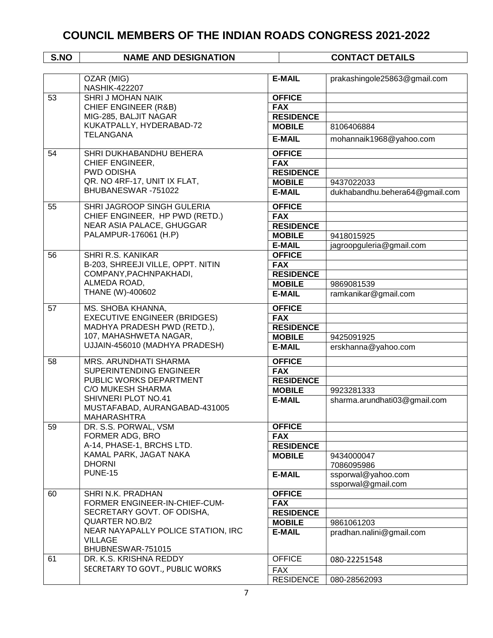|    | OZAR (MIG)                                         | <b>E-MAIL</b>                  | prakashingole25863@gmail.com   |
|----|----------------------------------------------------|--------------------------------|--------------------------------|
|    | <b>NASHIK-422207</b>                               |                                |                                |
| 53 | <b>SHRI J MOHAN NAIK</b>                           | <b>OFFICE</b>                  |                                |
|    | <b>CHIEF ENGINEER (R&amp;B)</b>                    | <b>FAX</b>                     |                                |
|    | MIG-285, BALJIT NAGAR                              | <b>RESIDENCE</b>               |                                |
|    | KUKATPALLY, HYDERABAD-72                           | <b>MOBILE</b>                  | 8106406884                     |
|    | <b>TELANGANA</b>                                   | <b>E-MAIL</b>                  | mohannaik1968@yahoo.com        |
| 54 | SHRI DUKHABANDHU BEHERA                            | <b>OFFICE</b>                  |                                |
|    | CHIEF ENGINEER,                                    | <b>FAX</b>                     |                                |
|    | <b>PWD ODISHA</b>                                  | <b>RESIDENCE</b>               |                                |
|    | QR. NO 4RF-17, UNIT IX FLAT,                       | <b>MOBILE</b>                  | 9437022033                     |
|    | BHUBANESWAR-751022                                 | <b>E-MAIL</b>                  | dukhabandhu.behera64@gmail.com |
| 55 | SHRI JAGROOP SINGH GULERIA                         | <b>OFFICE</b>                  |                                |
|    | CHIEF ENGINEER, HP PWD (RETD.)                     | <b>FAX</b>                     |                                |
|    | NEAR ASIA PALACE, GHUGGAR                          | <b>RESIDENCE</b>               |                                |
|    | PALAMPUR-176061 (H.P)                              | <b>MOBILE</b>                  | 9418015925                     |
|    |                                                    | <b>E-MAIL</b>                  | jagroopguleria@gmail.com       |
| 56 | SHRI R.S. KANIKAR                                  | <b>OFFICE</b>                  |                                |
|    | B-203, SHREEJI VILLE, OPPT. NITIN                  | <b>FAX</b>                     |                                |
|    | COMPANY, PACHNPAKHADI,                             | <b>RESIDENCE</b>               |                                |
|    | ALMEDA ROAD,                                       | <b>MOBILE</b>                  | 9869081539                     |
|    | THANE (W)-400602                                   | <b>E-MAIL</b>                  | ramkanikar@gmail.com           |
| 57 | MS. SHOBA KHANNA,                                  | <b>OFFICE</b>                  |                                |
|    | <b>EXECUTIVE ENGINEER (BRIDGES)</b>                | <b>FAX</b>                     |                                |
|    | MADHYA PRADESH PWD (RETD.),                        | <b>RESIDENCE</b>               |                                |
|    | 107, MAHASHWETA NAGAR,                             | <b>MOBILE</b>                  | 9425091925                     |
|    | UJJAIN-456010 (MADHYA PRADESH)                     | <b>E-MAIL</b>                  | erskhanna@yahoo.com            |
| 58 | MRS. ARUNDHATI SHARMA                              | <b>OFFICE</b>                  |                                |
|    | SUPERINTENDING ENGINEER<br>PUBLIC WORKS DEPARTMENT | <b>FAX</b><br><b>RESIDENCE</b> |                                |
|    | <b>C/O MUKESH SHARMA</b>                           |                                |                                |
|    | SHIVNERI PLOT NO.41                                | <b>MOBILE</b>                  | 9923281333                     |
|    | MUSTAFABAD, AURANGABAD-431005<br>MAHARASHTRA       | <b>E-MAIL</b>                  | sharma.arundhati03@gmail.com   |
| 59 | DR. S.S. PORWAL, VSM                               | <b>OFFICE</b>                  |                                |
|    | FORMER ADG, BRO                                    | <b>FAX</b>                     |                                |
|    | A-14, PHASE-1, BRCHS LTD.                          | <b>RESIDENCE</b>               |                                |
|    | KAMAL PARK, JAGAT NAKA                             | <b>MOBILE</b>                  | 9434000047                     |
|    | <b>DHORNI</b>                                      |                                | 7086095986                     |
|    | <b>PUNE-15</b>                                     | <b>E-MAIL</b>                  | ssporwal@yahoo.com             |
|    |                                                    |                                | ssporwal@gmail.com             |
| 60 | SHRI N.K. PRADHAN                                  | <b>OFFICE</b>                  |                                |
|    | FORMER ENGINEER-IN-CHIEF-CUM-                      | <b>FAX</b>                     |                                |
|    | SECRETARY GOVT. OF ODISHA,                         | <b>RESIDENCE</b>               |                                |
|    | <b>QUARTER NO.B/2</b>                              | <b>MOBILE</b>                  | 9861061203                     |
|    | NEAR NAYAPALLY POLICE STATION, IRC                 | <b>E-MAIL</b>                  | pradhan.nalini@gmail.com       |
|    | <b>VILLAGE</b><br>BHUBNESWAR-751015                |                                |                                |
| 61 | DR. K.S. KRISHNA REDDY                             | <b>OFFICE</b>                  | 080-22251548                   |
|    | SECRETARY TO GOVT., PUBLIC WORKS                   | <b>FAX</b>                     |                                |
|    |                                                    | <b>RESIDENCE</b>               | 080-28562093                   |
|    |                                                    |                                |                                |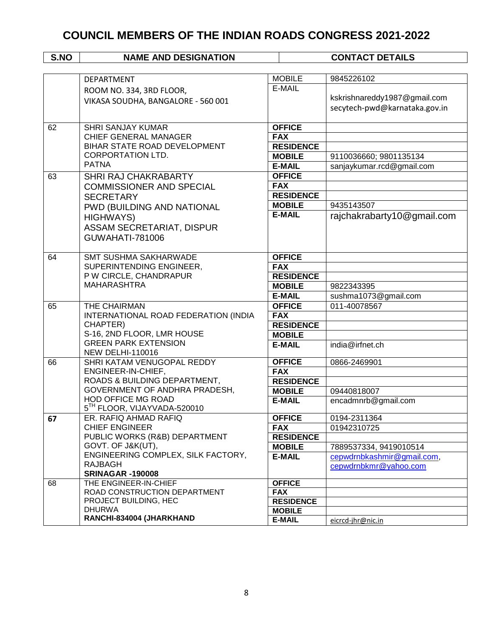|    | <b>DEPARTMENT</b>                                             | <b>MOBILE</b>                  | 9845226102                    |
|----|---------------------------------------------------------------|--------------------------------|-------------------------------|
|    | ROOM NO. 334, 3RD FLOOR,                                      | E-MAIL                         |                               |
|    | VIKASA SOUDHA, BANGALORE - 560 001                            |                                | kskrishnareddy1987@gmail.com  |
|    |                                                               |                                | secytech-pwd@karnataka.gov.in |
|    |                                                               |                                |                               |
| 62 | <b>SHRI SANJAY KUMAR</b>                                      | <b>OFFICE</b>                  |                               |
|    | CHIEF GENERAL MANAGER                                         | <b>FAX</b>                     |                               |
|    | BIHAR STATE ROAD DEVELOPMENT                                  | <b>RESIDENCE</b>               |                               |
|    | <b>CORPORTATION LTD.</b>                                      | <b>MOBILE</b>                  | 9110036660; 9801135134        |
|    | <b>PATNA</b>                                                  | <b>E-MAIL</b>                  | sanjaykumar.rcd@gmail.com     |
| 63 | SHRI RAJ CHAKRABARTY                                          | <b>OFFICE</b>                  |                               |
|    | <b>COMMISSIONER AND SPECIAL</b>                               | <b>FAX</b>                     |                               |
|    | <b>SECRETARY</b>                                              | <b>RESIDENCE</b>               |                               |
|    | PWD (BUILDING AND NATIONAL                                    | <b>MOBILE</b>                  | 9435143507                    |
|    | <b>HIGHWAYS)</b>                                              | <b>E-MAIL</b>                  | rajchakrabarty10@gmail.com    |
|    | ASSAM SECRETARIAT, DISPUR                                     |                                |                               |
|    | GUWAHATI-781006                                               |                                |                               |
|    |                                                               |                                |                               |
| 64 | <b>SMT SUSHMA SAKHARWADE</b>                                  | <b>OFFICE</b>                  |                               |
|    | SUPERINTENDING ENGINEER,                                      | <b>FAX</b>                     |                               |
|    | P W CIRCLE, CHANDRAPUR                                        | <b>RESIDENCE</b>               |                               |
|    | <b>MAHARASHTRA</b>                                            | <b>MOBILE</b>                  | 9822343395                    |
|    |                                                               | <b>E-MAIL</b>                  | sushma1073@gmail.com          |
| 65 | THE CHAIRMAN                                                  | <b>OFFICE</b>                  | 011-40078567                  |
|    | INTERNATIONAL ROAD FEDERATION (INDIA                          | <b>FAX</b>                     |                               |
|    | CHAPTER)                                                      | <b>RESIDENCE</b>               |                               |
|    | S-16, 2ND FLOOR, LMR HOUSE<br><b>GREEN PARK EXTENSION</b>     | <b>MOBILE</b>                  |                               |
|    | <b>NEW DELHI-110016</b>                                       | <b>E-MAIL</b>                  | india@irfnet.ch               |
| 66 | SHRI KATAM VENUGOPAL REDDY                                    | <b>OFFICE</b>                  | 0866-2469901                  |
|    | ENGINEER-IN-CHIEF,                                            | <b>FAX</b>                     |                               |
|    | ROADS & BUILDING DEPARTMENT,                                  | <b>RESIDENCE</b>               |                               |
|    | GOVERNMENT OF ANDHRA PRADESH,                                 | <b>MOBILE</b>                  | 09440818007                   |
|    | HOD OFFICE MG ROAD<br>5 <sup>TH</sup> FLOOR, VIJAYVADA-520010 | <b>E-MAIL</b>                  | encadmnrb@gmail.com           |
| 67 | ER. RAFIQ AHMAD RAFIQ                                         | <b>OFFICE</b>                  | 0194-2311364                  |
|    | <b>CHIEF ENGINEER</b>                                         | <b>FAX</b>                     | 01942310725                   |
|    | PUBLIC WORKS (R&B) DEPARTMENT                                 | <b>RESIDENCE</b>               |                               |
|    | GOVT. OF J&K(UT),                                             | <b>MOBILE</b>                  | 7889537334, 9419010514        |
|    | ENGINEERING COMPLEX, SILK FACTORY,                            | <b>E-MAIL</b>                  | cepwdrnbkashmir@gmail.com,    |
|    | RAJBAGH                                                       |                                | cepwdrnbkmr@yahoo.com         |
|    | <b>SRINAGAR -190008</b>                                       |                                |                               |
| 68 | THE ENGINEER-IN-CHIEF                                         | <b>OFFICE</b>                  |                               |
|    | ROAD CONSTRUCTION DEPARTMENT<br>PROJECT BUILDING, HEC         | <b>FAX</b><br><b>RESIDENCE</b> |                               |
|    | <b>DHURWA</b>                                                 | <b>MOBILE</b>                  |                               |
|    | RANCHI-834004 (JHARKHAND                                      | <b>E-MAIL</b>                  | eicrcd-jhr@nic.in             |
|    |                                                               |                                |                               |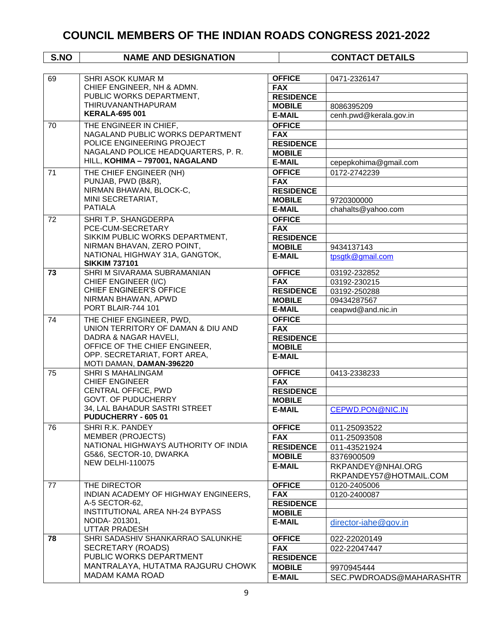| S.NO | <b>NAME AND DESIGNATION</b>                                  |                                   | <b>CONTACT DETAILS</b>  |
|------|--------------------------------------------------------------|-----------------------------------|-------------------------|
|      |                                                              |                                   |                         |
| 69   | SHRI ASOK KUMAR M                                            | <b>OFFICE</b>                     | 0471-2326147            |
|      | CHIEF ENGINEER, NH & ADMN.                                   | <b>FAX</b>                        |                         |
|      | PUBLIC WORKS DEPARTMENT,                                     | <b>RESIDENCE</b>                  |                         |
|      | THIRUVANANTHAPURAM                                           | <b>MOBILE</b>                     | 8086395209              |
|      | <b>KERALA-695 001</b>                                        | <b>E-MAIL</b>                     | cenh.pwd@kerala.gov.in  |
| 70   | THE ENGINEER IN CHIEF,                                       | <b>OFFICE</b>                     |                         |
|      | NAGALAND PUBLIC WORKS DEPARTMENT                             | <b>FAX</b>                        |                         |
|      | POLICE ENGINEERING PROJECT                                   | <b>RESIDENCE</b>                  |                         |
|      | NAGALAND POLICE HEADQUARTERS, P. R.                          | <b>MOBILE</b>                     |                         |
|      | HILL, KOHIMA - 797001, NAGALAND                              | <b>E-MAIL</b>                     | cepepkohima@gmail.com   |
| 71   | THE CHIEF ENGINEER (NH)                                      | <b>OFFICE</b>                     | 0172-2742239            |
|      | PUNJAB, PWD (B&R),                                           | <b>FAX</b>                        |                         |
|      | NIRMAN BHAWAN, BLOCK-C,                                      | <b>RESIDENCE</b>                  |                         |
|      | MINI SECRETARIAT,                                            | <b>MOBILE</b>                     | 9720300000              |
|      | <b>PATIALA</b>                                               | <b>E-MAIL</b>                     | chahalts@yahoo.com      |
| 72   | SHRI T.P. SHANGDERPA                                         | <b>OFFICE</b>                     |                         |
|      | PCE-CUM-SECRETARY                                            | <b>FAX</b>                        |                         |
|      | SIKKIM PUBLIC WORKS DEPARTMENT,                              | <b>RESIDENCE</b>                  |                         |
|      | NIRMAN BHAVAN, ZERO POINT,<br>NATIONAL HIGHWAY 31A, GANGTOK, | <b>MOBILE</b>                     | 9434137143              |
|      | <b>SIKKIM 737101</b>                                         | <b>E-MAIL</b>                     | tpsgtk@gmail.com        |
| 73   | SHRI M SIVARAMA SUBRAMANIAN                                  | <b>OFFICE</b>                     | 03192-232852            |
|      | CHIEF ENGINEER (I/C)                                         | <b>FAX</b>                        | 03192-230215            |
|      | CHIEF ENGINEER'S OFFICE                                      | <b>RESIDENCE</b>                  | 03192-250288            |
|      | NIRMAN BHAWAN, APWD                                          | <b>MOBILE</b>                     | 09434287567             |
|      | PORT BLAIR-744 101                                           | <b>E-MAIL</b>                     | ceapwd@and.nic.in       |
| 74   | THE CHIEF ENGINEER, PWD,                                     | <b>OFFICE</b>                     |                         |
|      | UNION TERRITORY OF DAMAN & DIU AND                           | <b>FAX</b>                        |                         |
|      | DADRA & NAGAR HAVELI,                                        | <b>RESIDENCE</b>                  |                         |
|      | OFFICE OF THE CHIEF ENGINEER,                                | <b>MOBILE</b>                     |                         |
|      | OPP. SECRETARIAT, FORT AREA,<br>MOTI DAMAN, DAMAN-396220     | <b>E-MAIL</b>                     |                         |
| 75   | <b>SHRI S MAHALINGAM</b>                                     | <b>OFFICE</b>                     | 0413-2338233            |
|      | <b>CHIEF ENGINEER</b>                                        | <b>FAX</b>                        |                         |
|      | CENTRAL OFFICE, PWD                                          | <b>RESIDENCE</b>                  |                         |
|      | <b>GOVT. OF PUDUCHERRY</b>                                   | <b>MOBILE</b>                     |                         |
|      | 34, LAL BAHADUR SASTRI STREET<br>PUDUCHERRY - 605 01         | <b>E-MAIL</b>                     | CEPWD.PON@NIC.IN        |
| 76   | SHRI R.K. PANDEY                                             | <b>OFFICE</b>                     | 011-25093522            |
|      | <b>MEMBER (PROJECTS)</b>                                     | <b>FAX</b>                        | 011-25093508            |
|      | NATIONAL HIGHWAYS AUTHORITY OF INDIA                         | <b>RESIDENCE</b>                  | 011-43521924            |
|      | G5&6, SECTOR-10, DWARKA                                      | <b>MOBILE</b>                     | 8376900509              |
|      | <b>NEW DELHI-110075</b>                                      | <b>E-MAIL</b>                     | RKPANDEY@NHAI.ORG       |
|      |                                                              |                                   | RKPANDEY57@HOTMAIL.COM  |
| 77   | THE DIRECTOR                                                 | <b>OFFICE</b>                     | 0120-2405006            |
|      | INDIAN ACADEMY OF HIGHWAY ENGINEERS,                         | <b>FAX</b>                        | 0120-2400087            |
|      | A-5 SECTOR-62,                                               | <b>RESIDENCE</b>                  |                         |
|      | INSTITUTIONAL AREA NH-24 BYPASS                              | <b>MOBILE</b>                     |                         |
|      | NOIDA-201301,                                                | <b>E-MAIL</b>                     | director-iahe@gov.in    |
| 78   | UTTAR PRADESH<br>SHRI SADASHIV SHANKARRAO SALUNKHE           | <b>OFFICE</b>                     | 022-22020149            |
|      | SECRETARY (ROADS)                                            |                                   |                         |
|      | PUBLIC WORKS DEPARTMENT                                      | <b>FAX</b>                        | 022-22047447            |
|      | MANTRALAYA, HUTATMA RAJGURU CHOWK                            | <b>RESIDENCE</b><br><b>MOBILE</b> |                         |
|      | <b>MADAM KAMA ROAD</b>                                       |                                   | 9970945444              |
|      |                                                              | <b>E-MAIL</b>                     | SEC.PWDROADS@MAHARASHTR |